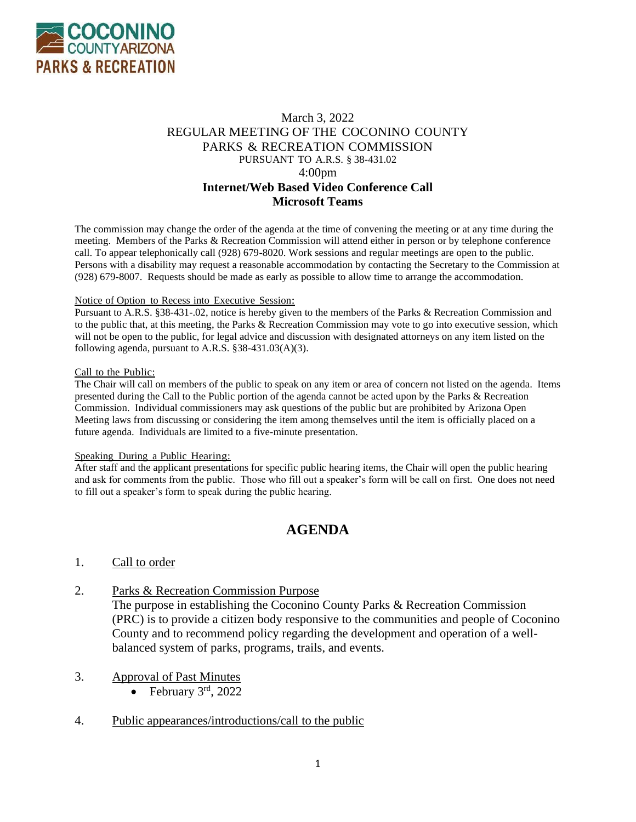

#### March 3, 2022 REGULAR MEETING OF THE COCONINO COUNTY PARKS & RECREATION COMMISSION PURSUANT TO A.R.S. § 38-431.02 4:00pm **Internet/Web Based Video Conference Call Microsoft Teams**

The commission may change the order of the agenda at the time of convening the meeting or at any time during the meeting. Members of the Parks & Recreation Commission will attend either in person or by telephone conference call. To appear telephonically call (928) 679-8020. Work sessions and regular meetings are open to the public. Persons with a disability may request a reasonable accommodation by contacting the Secretary to the Commission at (928) 679-8007. Requests should be made as early as possible to allow time to arrange the accommodation.

#### Notice of Option to Recess into Executive Session:

Pursuant to A.R.S. §38-431-.02, notice is hereby given to the members of the Parks & Recreation Commission and to the public that, at this meeting, the Parks & Recreation Commission may vote to go into executive session, which will not be open to the public, for legal advice and discussion with designated attorneys on any item listed on the following agenda, pursuant to A.R.S. §38-431.03(A)(3).

#### Call to the Public:

The Chair will call on members of the public to speak on any item or area of concern not listed on the agenda. Items presented during the Call to the Public portion of the agenda cannot be acted upon by the Parks & Recreation Commission. Individual commissioners may ask questions of the public but are prohibited by Arizona Open Meeting laws from discussing or considering the item among themselves until the item is officially placed on a future agenda. Individuals are limited to a five-minute presentation.

#### Speaking During a Public Hearing:

After staff and the applicant presentations for specific public hearing items, the Chair will open the public hearing and ask for comments from the public. Those who fill out a speaker's form will be call on first. One does not need to fill out a speaker's form to speak during the public hearing.

# **AGENDA**

#### 1. Call to order

2. Parks & Recreation Commission Purpose

The purpose in establishing the Coconino County Parks & Recreation Commission (PRC) is to provide a citizen body responsive to the communities and people of Coconino County and to recommend policy regarding the development and operation of a wellbalanced system of parks, programs, trails, and events.

- 3. Approval of Past Minutes
	- February  $3^{\text{rd}}$ , 2022
- 4. Public appearances/introductions/call to the public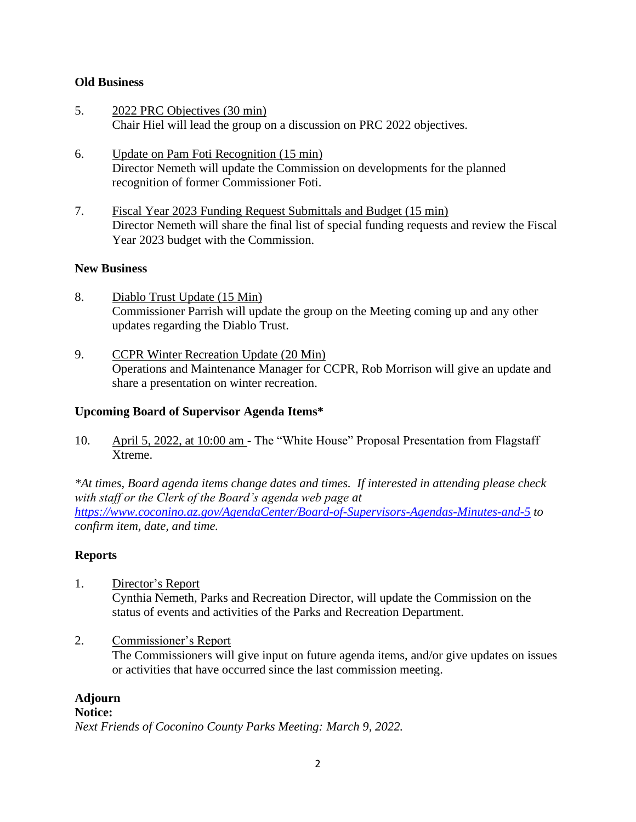#### **Old Business**

- 5. 2022 PRC Objectives (30 min) Chair Hiel will lead the group on a discussion on PRC 2022 objectives.
- 6. Update on Pam Foti Recognition (15 min) Director Nemeth will update the Commission on developments for the planned recognition of former Commissioner Foti.
- 7. Fiscal Year 2023 Funding Request Submittals and Budget (15 min) Director Nemeth will share the final list of special funding requests and review the Fiscal Year 2023 budget with the Commission.

#### **New Business**

- 8. Diablo Trust Update (15 Min) Commissioner Parrish will update the group on the Meeting coming up and any other updates regarding the Diablo Trust.
- 9. CCPR Winter Recreation Update (20 Min) Operations and Maintenance Manager for CCPR, Rob Morrison will give an update and share a presentation on winter recreation.

# **Upcoming Board of Supervisor Agenda Items\***

10. April 5, 2022, at 10:00 am - The "White House" Proposal Presentation from Flagstaff Xtreme.

*\*At times, Board agenda items change dates and times. If interested in attending please check with staff or the Clerk of the Board's agenda web page at <https://www.coconino.az.gov/AgendaCenter/Board-of-Supervisors-Agendas-Minutes-and-5> to confirm item, date, and time.*

#### **Reports**

- 1. Director's Report Cynthia Nemeth, Parks and Recreation Director, will update the Commission on the status of events and activities of the Parks and Recreation Department.
- 2. Commissioner's Report The Commissioners will give input on future agenda items, and/or give updates on issues or activities that have occurred since the last commission meeting.

# **Adjourn**

# **Notice:**

*Next Friends of Coconino County Parks Meeting: March 9, 2022.*